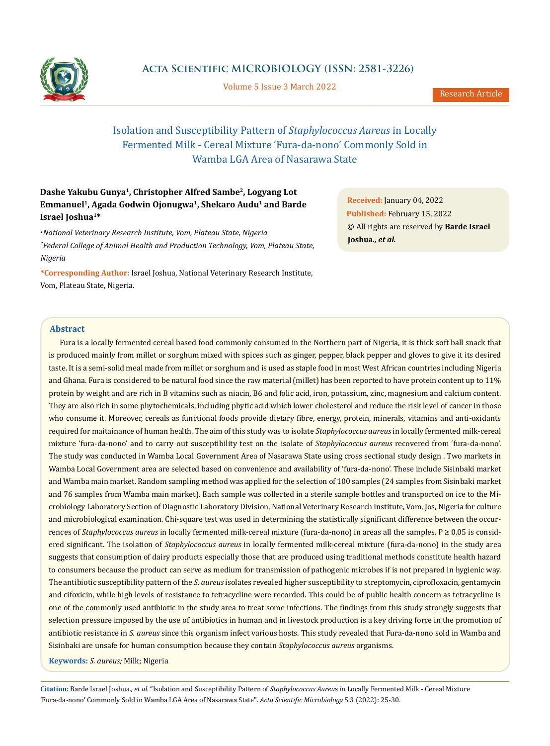

**Acta Scientific MICROBIOLOGY (ISSN: 2581-3226)**

Volume 5 Issue 3 March 2022

# Isolation and Susceptibility Pattern of *Staphylococcus Aureus* in Locally Fermented Milk - Cereal Mixture 'Fura-da-nono' Commonly Sold in Wamba LGA Area of Nasarawa State

## **Dashe Yakubu Gunya1, Christopher Alfred Sambe2, Logyang Lot Emmanuel1, Agada Godwin Ojonugwa1, Shekaro Audu1 and Barde Israel Joshua1\***

*1 National Veterinary Research Institute, Vom, Plateau State, Nigeria 2 Federal College of Animal Health and Production Technology, Vom, Plateau State, Nigeria*

**\*Corresponding Author:** Israel Joshua, National Veterinary Research Institute, Vom, Plateau State, Nigeria.

**Received:** January 04, 2022 **Published:** February 15, 2022 © All rights are reserved by **Barde Israel Joshua***., et al.*

## **Abstract**

Fura is a locally fermented cereal based food commonly consumed in the Northern part of Nigeria, it is thick soft ball snack that is produced mainly from millet or sorghum mixed with spices such as ginger, pepper, black pepper and gloves to give it its desired taste. It is a semi-solid meal made from millet or sorghum and is used as staple food in most West African countries including Nigeria and Ghana. Fura is considered to be natural food since the raw material (millet) has been reported to have protein content up to 11% protein by weight and are rich in B vitamins such as niacin, B6 and folic acid, iron, potassium, zinc, magnesium and calcium content. They are also rich in some phytochemicals, including phytic acid which lower cholesterol and reduce the risk level of cancer in those who consume it. Moreover, cereals as functional foods provide dietary fibre, energy, protein, minerals, vitamins and anti-oxidants required for maitainance of human health. The aim of this study was to isolate *Staphylococcus aureus* in locally fermented milk-cereal mixture 'fura-da-nono' and to carry out susceptibility test on the isolate of *Staphylococcus aureus* recovered from 'fura-da-nono'. The study was conducted in Wamba Local Government Area of Nasarawa State using cross sectional study design . Two markets in Wamba Local Government area are selected based on convenience and availability of 'fura-da-nono'. These include Sisinbaki market and Wamba main market. Random sampling method was applied for the selection of 100 samples (24 samples from Sisinbaki market and 76 samples from Wamba main market). Each sample was collected in a sterile sample bottles and transported on ice to the Microbiology Laboratory Section of Diagnostic Laboratory Division, National Veterinary Research Institute, Vom, Jos, Nigeria for culture and microbiological examination. Chi-square test was used in determining the statistically significant difference between the occurrences of *Staphylococcus aureus* in locally fermented milk-cereal mixture (fura-da-nono) in areas all the samples. P ≥ 0.05 is considered significant. The isolation of *Staphylococcus aureus* in locally fermented milk-cereal mixture (fura-da-nono) in the study area suggests that consumption of dairy products especially those that are produced using traditional methods constitute health hazard to consumers because the product can serve as medium for transmission of pathogenic microbes if is not prepared in hygienic way. The antibiotic susceptibility pattern of the *S. aureus* isolates revealed higher susceptibility to streptomycin, ciprofloxacin, gentamycin and cifoxicin, while high levels of resistance to tetracycline were recorded. This could be of public health concern as tetracycline is one of the commonly used antibiotic in the study area to treat some infections. The findings from this study strongly suggests that selection pressure imposed by the use of antibiotics in human and in livestock production is a key driving force in the promotion of antibiotic resistance in *S. aureus* since this organism infect various hosts. This study revealed that Fura-da-nono sold in Wamba and Sisinbaki are unsafe for human consumption because they contain *Staphylococcus aureus* organisms.

**Keywords:** *S. aureus;* Milk; Nigeria

**Citation:** Barde Israel Joshua*., et al.* "Isolation and Susceptibility Pattern of *Staphylococcus Aureu*s in Locally Fermented Milk - Cereal Mixture 'Fura-da-nono' Commonly Sold in Wamba LGA Area of Nasarawa State". *Acta Scientific Microbiology* 5.3 (2022): 25-30.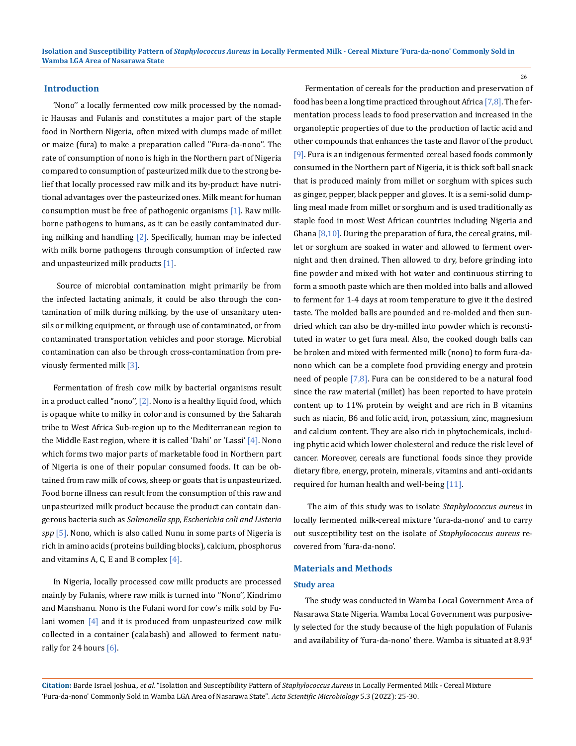#### **Introduction**

'Nono'' a locally fermented cow milk processed by the nomadic Hausas and Fulanis and constitutes a major part of the staple food in Northern Nigeria, often mixed with clumps made of millet or maize (fura) to make a preparation called ''Fura-da-nono''. The rate of consumption of nono is high in the Northern part of Nigeria compared to consumption of pasteurized milk due to the strong belief that locally processed raw milk and its by-product have nutritional advantages over the pasteurized ones. Milk meant for human consumption must be free of pathogenic organisms [1]. Raw milkborne pathogens to humans, as it can be easily contaminated during milking and handling [2]. Specifically, human may be infected with milk borne pathogens through consumption of infected raw and unpasteurized milk products [1].

 Source of microbial contamination might primarily be from the infected lactating animals, it could be also through the contamination of milk during milking, by the use of unsanitary utensils or milking equipment, or through use of contaminated, or from contaminated transportation vehicles and poor storage. Microbial contamination can also be through cross-contamination from previously fermented milk [3].

Fermentation of fresh cow milk by bacterial organisms result in a product called "nono",  $[2]$ . Nono is a healthy liquid food, which is opaque white to milky in color and is consumed by the Saharah tribe to West Africa Sub-region up to the Mediterranean region to the Middle East region, where it is called 'Dahi' or 'Lassi' [4]. Nono which forms two major parts of marketable food in Northern part of Nigeria is one of their popular consumed foods. It can be obtained from raw milk of cows, sheep or goats that is unpasteurized. Food borne illness can result from the consumption of this raw and unpasteurized milk product because the product can contain dangerous bacteria such as *Salmonella spp, Escherichia coli and Listeria spp* [5]. Nono, which is also called Nunu in some parts of Nigeria is rich in amino acids (proteins building blocks), calcium, phosphorus and vitamins A, C, E and B complex  $[4]$ .

In Nigeria, locally processed cow milk products are processed mainly by Fulanis, where raw milk is turned into ''Nono'', Kindrimo and Manshanu. Nono is the Fulani word for cow's milk sold by Fulani women [4] and it is produced from unpasteurized cow milk collected in a container (calabash) and allowed to ferment naturally for 24 hours [6].

Fermentation of cereals for the production and preservation of food has been a long time practiced throughout Africa  $[7,8]$ . The fermentation process leads to food preservation and increased in the organoleptic properties of due to the production of lactic acid and other compounds that enhances the taste and flavor of the product [9]. Fura is an indigenous fermented cereal based foods commonly consumed in the Northern part of Nigeria, it is thick soft ball snack that is produced mainly from millet or sorghum with spices such as ginger, pepper, black pepper and gloves. It is a semi-solid dumpling meal made from millet or sorghum and is used traditionally as staple food in most West African countries including Nigeria and Ghana  $[8,10]$ . During the preparation of fura, the cereal grains, millet or sorghum are soaked in water and allowed to ferment overnight and then drained. Then allowed to dry, before grinding into fine powder and mixed with hot water and continuous stirring to form a smooth paste which are then molded into balls and allowed to ferment for 1-4 days at room temperature to give it the desired taste. The molded balls are pounded and re-molded and then sundried which can also be dry-milled into powder which is reconstituted in water to get fura meal. Also, the cooked dough balls can be broken and mixed with fermented milk (nono) to form fura-danono which can be a complete food providing energy and protein need of people [7,8]. Fura can be considered to be a natural food since the raw material (millet) has been reported to have protein content up to 11% protein by weight and are rich in B vitamins such as niacin, B6 and folic acid, iron, potassium, zinc, magnesium and calcium content. They are also rich in phytochemicals, including phytic acid which lower cholesterol and reduce the risk level of cancer. Moreover, cereals are functional foods since they provide dietary fibre, energy, protein, minerals, vitamins and anti-oxidants required for human health and well-being [11].

 The aim of this study was to isolate *Staphylococcus aureus* in locally fermented milk-cereal mixture 'fura-da-nono' and to carry out susceptibility test on the isolate of *Staphylococcus aureus* recovered from 'fura-da-nono'.

#### **Materials and Methods**

#### **Study area**

The study was conducted in Wamba Local Government Area of Nasarawa State Nigeria. Wamba Local Government was purposively selected for the study because of the high population of Fulanis and availability of 'fura-da-nono' there. Wamba is situated at  $8.93^\circ$ 

**Citation:** Barde Israel Joshua*., et al.* "Isolation and Susceptibility Pattern of *Staphylococcus Aureus* in Locally Fermented Milk - Cereal Mixture 'Fura-da-nono' Commonly Sold in Wamba LGA Area of Nasarawa State". *Acta Scientific Microbiology* 5.3 (2022): 25-30.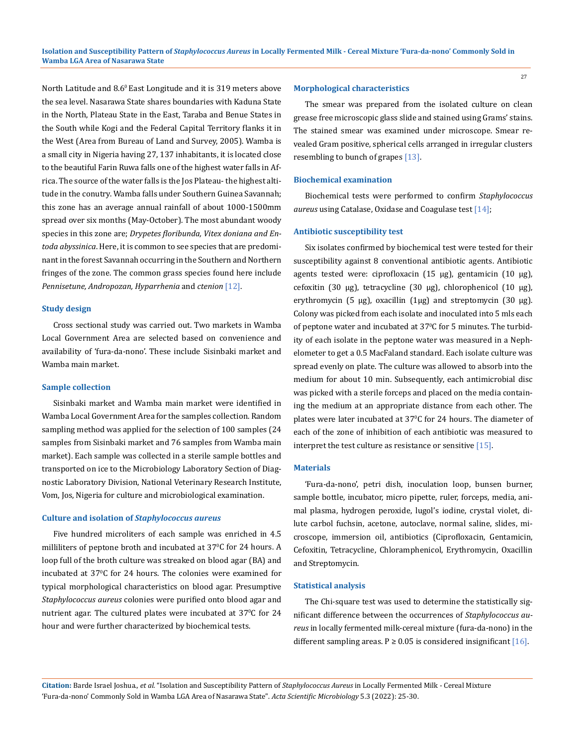North Latitude and 8.6<sup>0</sup> East Longitude and it is 319 meters above the sea level. Nasarawa State shares boundaries with Kaduna State in the North, Plateau State in the East, Taraba and Benue States in the South while Kogi and the Federal Capital Territory flanks it in the West (Area from Bureau of Land and Survey, 2005). Wamba is a small city in Nigeria having 27, 137 inhabitants, it is located close to the beautiful Farin Ruwa falls one of the highest water falls in Africa. The source of the water falls is the Jos Plateau- the highest altitude in the conutry. Wamba falls under Southern Guinea Savannah; this zone has an average annual rainfall of about 1000-1500mm spread over six months (May-October). The most abundant woody species in this zone are; *Drypetes floribunda, Vitex doniana and Entoda abyssinica*. Here, it is common to see species that are predominant in the forest Savannah occurring in the Southern and Northern fringes of the zone. The common grass species found here include *Pennisetune, Andropozan, Hyparrhenia* and *ctenion* [12].

#### **Study design**

Cross sectional study was carried out. Two markets in Wamba Local Government Area are selected based on convenience and availability of 'fura-da-nono'. These include Sisinbaki market and Wamba main market.

#### **Sample collection**

Sisinbaki market and Wamba main market were identified in Wamba Local Government Area for the samples collection. Random sampling method was applied for the selection of 100 samples (24 samples from Sisinbaki market and 76 samples from Wamba main market). Each sample was collected in a sterile sample bottles and transported on ice to the Microbiology Laboratory Section of Diagnostic Laboratory Division, National Veterinary Research Institute, Vom, Jos, Nigeria for culture and microbiological examination.

#### **Culture and isolation of** *Staphylococcus aureus*

Five hundred microliters of each sample was enriched in 4.5 milliliters of peptone broth and incubated at 37°C for 24 hours. A loop full of the broth culture was streaked on blood agar (BA) and incubated at 37<sup>0</sup> C for 24 hours. The colonies were examined for typical morphological characteristics on blood agar. Presumptive *Staphylococcus aureus* colonies were purified onto blood agar and nutrient agar. The cultured plates were incubated at 370 C for 24 hour and were further characterized by biochemical tests.

#### **Morphological characteristics**

The smear was prepared from the isolated culture on clean grease free microscopic glass slide and stained using Grams' stains. The stained smear was examined under microscope. Smear revealed Gram positive, spherical cells arranged in irregular clusters resembling to bunch of grapes [13].

#### **Biochemical examination**

Biochemical tests were performed to confirm *Staphylococcus aureus* using Catalase, Oxidase and Coagulase test [14];

#### **Antibiotic susceptibility test**

Six isolates confirmed by biochemical test were tested for their susceptibility against 8 conventional antibiotic agents. Antibiotic agents tested were: ciprofloxacin (15 μg), gentamicin (10 μg), cefoxitin (30 μg), tetracycline (30 μg), chlorophenicol (10 μg), erythromycin (5 μg), oxacillin (1μg) and streptomycin (30 μg). Colony was picked from each isolate and inoculated into 5 mls each of peptone water and incubated at 37°C for 5 minutes. The turbidity of each isolate in the peptone water was measured in a Nephelometer to get a 0.5 MacFaland standard. Each isolate culture was spread evenly on plate. The culture was allowed to absorb into the medium for about 10 min. Subsequently, each antimicrobial disc was picked with a sterile forceps and placed on the media containing the medium at an appropriate distance from each other. The plates were later incubated at 370 C for 24 hours. The diameter of each of the zone of inhibition of each antibiotic was measured to interpret the test culture as resistance or sensitive [15].

#### **Materials**

'Fura-da-nono', petri dish, inoculation loop, bunsen burner, sample bottle, incubator, micro pipette, ruler, forceps, media, animal plasma, hydrogen peroxide, lugol's iodine, crystal violet, dilute carbol fuchsin, acetone, autoclave, normal saline, slides, microscope, immersion oil, antibiotics (Ciprofloxacin, Gentamicin, Cefoxitin, Tetracycline, Chloramphenicol, Erythromycin, Oxacillin and Streptomycin.

#### **Statistical analysis**

The Chi-square test was used to determine the statistically significant difference between the occurrences of *Staphylococcus aureus* in locally fermented milk-cereal mixture (fura-da-nono) in the different sampling areas.  $P \ge 0.05$  is considered insignificant [16].

**Citation:** Barde Israel Joshua*., et al.* "Isolation and Susceptibility Pattern of *Staphylococcus Aureus* in Locally Fermented Milk - Cereal Mixture 'Fura-da-nono' Commonly Sold in Wamba LGA Area of Nasarawa State". *Acta Scientific Microbiology* 5.3 (2022): 25-30.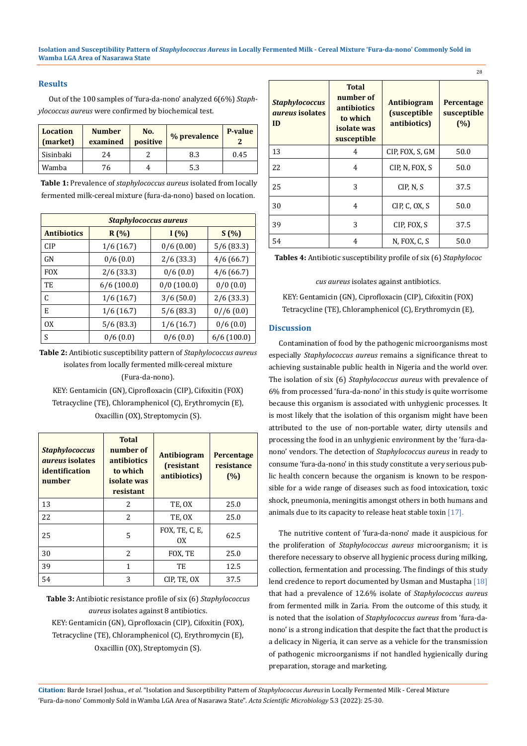## **Results**

Out of the 100 samples of 'fura-da-nono' analyzed 6(6%) *Staphylococcus aureus* were confirmed by biochemical test.

| <b>Location</b><br>(market) | <b>Number</b><br>examined | No.<br>positive | % prevalence | P-value |
|-----------------------------|---------------------------|-----------------|--------------|---------|
| Sisinbaki                   | 24                        |                 | 8.3          | 0.45    |
| Wamba                       | 76                        |                 | 5.3          |         |

 **Table 1:** Prevalence of *staphylococcus aureus* isolated from locally fermented milk-cereal mixture (fura-da-nono) based on location.

| <b>Staphylococcus aureus</b> |               |               |               |  |  |
|------------------------------|---------------|---------------|---------------|--|--|
| <b>Antibiotics</b>           | $R(\%)$       | I(%)          | S(%)          |  |  |
| CIP                          | 1/6(16.7)     | 0/6(0.00)     | 5/6(83.3)     |  |  |
| GN                           | 0/6(0.0)      | 2/6(33.3)     | 4/6(66.7)     |  |  |
| <b>FOX</b>                   | 2/6(33.3)     | 0/6(0.0)      | 4/6(66.7)     |  |  |
| TE                           | $6/6$ (100.0) | $0/0$ (100.0) | 0/0(0.0)      |  |  |
| C                            | 1/6(16.7)     | 3/6(50.0)     | 2/6(33.3)     |  |  |
| E                            | 1/6(16.7)     | 5/6 (83.3)    | 0//6(0.0)     |  |  |
| 0x                           | 5/6(83.3)     | 1/6(16.7)     | 0/6(0.0)      |  |  |
| S                            | 0/6(0.0)      | 0/6(0.0)      | $6/6$ (100.0) |  |  |

**Table 2:** Antibiotic susceptibility pattern of *Staphylococcus aureus* isolates from locally fermented milk-cereal mixture (Fura-da-nono).

KEY: Gentamicin (GN), Ciprofloxacin (CIP), Cifoxitin (FOX) Tetracycline (TE), Chloramphenicol (C), Erythromycin (E), Oxacillin (OX), Streptomycin (S).

| <b>Staphylococcus</b><br><i>aureus</i> isolates<br>identification<br>number | <b>Total</b><br>number of<br><i>antibiotics</i><br>to which<br>isolate was<br>resistant | <b>Antibiogram</b><br>(resistant<br>antibiotics) | Percentage<br>resistance<br>(%) |
|-----------------------------------------------------------------------------|-----------------------------------------------------------------------------------------|--------------------------------------------------|---------------------------------|
| 13                                                                          | 2                                                                                       | TE, OX                                           | 25.0                            |
| 22                                                                          | $\mathcal{L}$                                                                           | TE, OX                                           | 25.0                            |
| 25                                                                          | 5                                                                                       | FOX, TE, C, E,<br>0X                             | 62.5                            |
| 30                                                                          | 2                                                                                       | FOX, TE                                          | 25.0                            |
| 39                                                                          | 1                                                                                       | TE                                               | 12.5                            |
| 54                                                                          | 3                                                                                       | CIP, TE, OX                                      | 37.5                            |

**Table 3:** Antibiotic resistance profile of six (6) *Staphylococcus aureus* isolates against 8 antibiotics. KEY: Gentamicin (GN), Ciprofloxacin (CIP), Cifoxitin (FOX), Tetracycline (TE), Chloramphenicol (C), Erythromycin (E), Oxacillin (OX), Streptomycin (S).

| <b>Staphylococcus</b><br><i>dureus</i> isolates<br>ID | <b>Total</b><br>number of<br>antibiotics<br>to which<br>isolate was<br>susceptible | <b>Antibiogram</b><br><i>(susceptible)</i><br>antibiotics) | Percentage<br>susceptible<br>(%) |
|-------------------------------------------------------|------------------------------------------------------------------------------------|------------------------------------------------------------|----------------------------------|
| 13                                                    | 4                                                                                  | CIP, FOX, S, GM                                            | 50.0                             |
| 22                                                    | 4                                                                                  | CIP, N, FOX, S                                             | 50.0                             |
| 25                                                    | 3                                                                                  | CIP, N, S                                                  | 37.5                             |
| 30                                                    | 4                                                                                  | CIP, C, OX, S                                              | 50.0                             |
| 39                                                    | 3                                                                                  | CIP, FOX, S                                                | 37.5                             |
| 54                                                    | 4                                                                                  | N, FOX, C, S                                               | 50.0                             |

**Tables 4:** Antibiotic susceptibility profile of six (6) *Staphylococ*

*cus aureus* isolates against antibiotics.

KEY: Gentamicin (GN), Ciprofloxacin (CIP), Cifoxitin (FOX) Tetracycline (TE), Chloramphenicol (C), Erythromycin (E),

## **Discussion**

Contamination of food by the pathogenic microorganisms most especially *Staphylococcus aureus* remains a significance threat to achieving sustainable public health in Nigeria and the world over. The isolation of six (6) *Staphylococcus aureus* with prevalence of 6% from processed 'fura-da-nono' in this study is quite worrisome because this organism is associated with unhygienic processes. It is most likely that the isolation of this organism might have been attributed to the use of non-portable water, dirty utensils and processing the food in an unhygienic environment by the 'fura-danono' vendors. The detection of *Staphylococcus aureus* in ready to consume 'fura-da-nono' in this study constitute a very serious public health concern because the organism is known to be responsible for a wide range of diseases such as food intoxication, toxic shock, pneumonia, meningitis amongst others in both humans and animals due to its capacity to release heat stable toxin [17].

The nutritive content of 'fura-da-nono' made it auspicious for the proliferation of *Staphylococcus aureus* microorganism; it is therefore necessary to observe all hygienic process during milking, collection, fermentation and processing. The findings of this study lend credence to report documented by Usman and Mustapha [18] that had a prevalence of 12.6% isolate of *Staphylococcus aureus* from fermented milk in Zaria. From the outcome of this study, it is noted that the isolation of *Staphylococcus aureus* from 'fura-danono' is a strong indication that despite the fact that the product is a delicacy in Nigeria, it can serve as a vehicle for the transmission of pathogenic microorganisms if not handled hygienically during preparation, storage and marketing.

**Citation:** Barde Israel Joshua*., et al.* "Isolation and Susceptibility Pattern of *Staphylococcus Aureus* in Locally Fermented Milk - Cereal Mixture 'Fura-da-nono' Commonly Sold in Wamba LGA Area of Nasarawa State". *Acta Scientific Microbiology* 5.3 (2022): 25-30.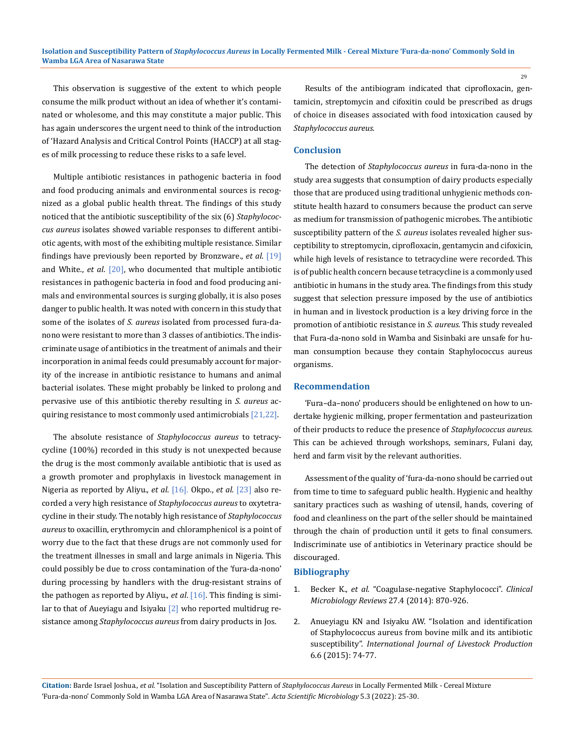This observation is suggestive of the extent to which people consume the milk product without an idea of whether it's contaminated or wholesome, and this may constitute a major public. This has again underscores the urgent need to think of the introduction of 'Hazard Analysis and Critical Control Points (HACCP) at all stages of milk processing to reduce these risks to a safe level.

Multiple antibiotic resistances in pathogenic bacteria in food and food producing animals and environmental sources is recognized as a global public health threat. The findings of this study noticed that the antibiotic susceptibility of the six (6) *Staphylococcus aureus* isolates showed variable responses to different antibiotic agents, with most of the exhibiting multiple resistance. Similar findings have previously been reported by Bronzware., *et al*. [19] and White., *et al*. [20], who documented that multiple antibiotic resistances in pathogenic bacteria in food and food producing animals and environmental sources is surging globally, it is also poses danger to public health. It was noted with concern in this study that some of the isolates of *S. aureus* isolated from processed fura-danono were resistant to more than 3 classes of antibiotics. The indiscriminate usage of antibiotics in the treatment of animals and their incorporation in animal feeds could presumably account for majority of the increase in antibiotic resistance to humans and animal bacterial isolates. These might probably be linked to prolong and pervasive use of this antibiotic thereby resulting in *S. aureus* acquiring resistance to most commonly used antimicrobials [21,22].

The absolute resistance of *Staphylococcus aureus* to tetracycycline (100%) recorded in this study is not unexpected because the drug is the most commonly available antibiotic that is used as a growth promoter and prophylaxis in livestock management in Nigeria as reported by Aliyu., *et al*. [16]. Okpo., *et al*. [23] also recorded a very high resistance of *Staphylococcus aureus* to oxytetracycline in their study. The notably high resistance of *Staphylococcus aureus* to oxacillin, erythromycin and chloramphenicol is a point of worry due to the fact that these drugs are not commonly used for the treatment illnesses in small and large animals in Nigeria. This could possibly be due to cross contamination of the 'fura-da-nono' during processing by handlers with the drug-resistant strains of the pathogen as reported by Aliyu., *et al*. [16]. This finding is similar to that of Aueyiagu and Isiyaku  $[2]$  who reported multidrug resistance among *Staphylococcus aureus* from dairy products in Jos.

Results of the antibiogram indicated that ciprofloxacin, gentamicin, streptomycin and cifoxitin could be prescribed as drugs of choice in diseases associated with food intoxication caused by *Staphylococcus aureus.*

## **Conclusion**

The detection of *Staphylococcus aureus* in fura-da-nono in the study area suggests that consumption of dairy products especially those that are produced using traditional unhygienic methods constitute health hazard to consumers because the product can serve as medium for transmission of pathogenic microbes. The antibiotic susceptibility pattern of the *S. aureus* isolates revealed higher susceptibility to streptomycin, ciprofloxacin, gentamycin and cifoxicin, while high levels of resistance to tetracycline were recorded. This is of public health concern because tetracycline is a commonly used antibiotic in humans in the study area. The findings from this study suggest that selection pressure imposed by the use of antibiotics in human and in livestock production is a key driving force in the promotion of antibiotic resistance in *S. aureus.* This study revealed that Fura-da-nono sold in Wamba and Sisinbaki are unsafe for human consumption because they contain Staphylococcus aureus organisms.

#### **Recommendation**

'Fura–da–nono' producers should be enlightened on how to undertake hygienic milking, proper fermentation and pasteurization of their products to reduce the presence of *Staphylococcus aureus.* This can be achieved through workshops, seminars, Fulani day, herd and farm visit by the relevant authorities.

Assessment of the quality of 'fura-da-nono should be carried out from time to time to safeguard public health. Hygienic and healthy sanitary practices such as washing of utensil, hands, covering of food and cleanliness on the part of the seller should be maintained through the chain of production until it gets to final consumers. Indiscriminate use of antibiotics in Veterinary practice should be discouraged.

### **Bibliography**

- 1. Becker K., *et al*[. "Coagulase-negative Staphylococci".](https://www.ncbi.nlm.nih.gov/pmc/articles/PMC4187637/) *Clinical [Microbiology Reviews](https://www.ncbi.nlm.nih.gov/pmc/articles/PMC4187637/)* 27.4 (2014): 870-926.
- 2. [Anueyiagu KN and Isiyaku AW. "Isolation and identification](https://www.researchgate.net/publication/299510488_Isolation_and_Identification_of_Staphylococcus_Aureus_from_Bovine_Mastitis_Milk_and_Their_Drug_Resistance_Patterns_in_Silchar_Town_Dairy_Farms_NE_India) [of Staphylococcus aureus from bovine milk and its antibiotic](https://www.researchgate.net/publication/299510488_Isolation_and_Identification_of_Staphylococcus_Aureus_from_Bovine_Mastitis_Milk_and_Their_Drug_Resistance_Patterns_in_Silchar_Town_Dairy_Farms_NE_India) susceptibility". *[International Journal of Livestock Production](https://www.researchgate.net/publication/299510488_Isolation_and_Identification_of_Staphylococcus_Aureus_from_Bovine_Mastitis_Milk_and_Their_Drug_Resistance_Patterns_in_Silchar_Town_Dairy_Farms_NE_India)* [6.6 \(2015\): 74-77.](https://www.researchgate.net/publication/299510488_Isolation_and_Identification_of_Staphylococcus_Aureus_from_Bovine_Mastitis_Milk_and_Their_Drug_Resistance_Patterns_in_Silchar_Town_Dairy_Farms_NE_India)

**Citation:** Barde Israel Joshua*., et al.* "Isolation and Susceptibility Pattern of *Staphylococcus Aureus* in Locally Fermented Milk - Cereal Mixture 'Fura-da-nono' Commonly Sold in Wamba LGA Area of Nasarawa State". *Acta Scientific Microbiology* 5.3 (2022): 25-30.